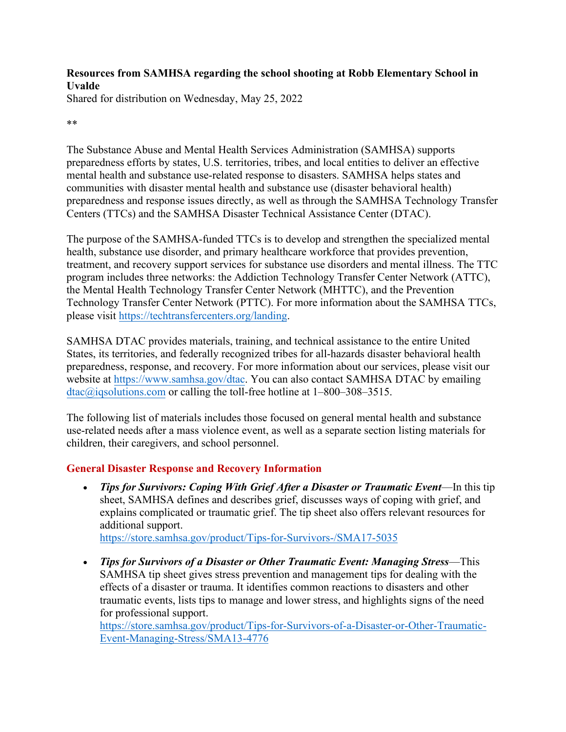### **Resources from SAMHSA regarding the school shooting at Robb Elementary School in Uvalde**

Shared for distribution on Wednesday, May 25, 2022

#### \*\*

The Substance Abuse and Mental Health Services Administration (SAMHSA) supports preparedness efforts by states, U.S. territories, tribes, and local entities to deliver an effective mental health and substance use-related response to disasters. SAMHSA helps states and communities with disaster mental health and substance use (disaster behavioral health) preparedness and response issues directly, as well as through the SAMHSA Technology Transfer Centers (TTCs) and the SAMHSA Disaster Technical Assistance Center (DTAC).

The purpose of the SAMHSA-funded TTCs is to develop and strengthen the specialized mental health, substance use disorder, and primary healthcare workforce that provides prevention, treatment, and recovery support services for substance use disorders and mental illness. The TTC program includes three networks: the Addiction Technology Transfer Center Network (ATTC), the Mental Health Technology Transfer Center Network (MHTTC), and the Prevention Technology Transfer Center Network (PTTC). For more information about the SAMHSA TTCs, please visit [https://techtransfercenters.org/landing.](https://techtransfercenters.org/landing)

SAMHSA DTAC provides materials, training, and technical assistance to the entire United States, its territories, and federally recognized tribes for all-hazards disaster behavioral health preparedness, response, and recovery. For more information about our services, please visit our website at [https://www.samhsa.gov/dtac.](https://www.samhsa.gov/dtac) You can also contact SAMHSA DTAC by emailing [dtac@iqsolutions.com](mailto:dtac@iqsolutions.com) or calling the toll-free hotline at 1–800–308–3515.

The following list of materials includes those focused on general mental health and substance use-related needs after a mass violence event, as well as a separate section listing materials for children, their caregivers, and school personnel.

# **General Disaster Response and Recovery Information**

• *Tips for Survivors: Coping With Grief After a Disaster or Traumatic Event*—In this tip sheet, SAMHSA defines and describes grief, discusses ways of coping with grief, and explains complicated or traumatic grief. The tip sheet also offers relevant resources for additional support.

<https://store.samhsa.gov/product/Tips-for-Survivors-/SMA17-5035>

• *Tips for Survivors of a Disaster or Other Traumatic Event: Managing Stress*—This SAMHSA tip sheet gives stress prevention and management tips for dealing with the effects of a disaster or trauma. It identifies common reactions to disasters and other traumatic events, lists tips to manage and lower stress, and highlights signs of the need for professional support.

[https://store.samhsa.gov/product/Tips-for-Survivors-of-a-Disaster-or-Other-Traumatic-](https://store.samhsa.gov/product/Tips-for-Survivors-of-a-Disaster-or-Other-Traumatic-Event-Managing-Stress/SMA13-4776)[Event-Managing-Stress/SMA13-4776](https://store.samhsa.gov/product/Tips-for-Survivors-of-a-Disaster-or-Other-Traumatic-Event-Managing-Stress/SMA13-4776)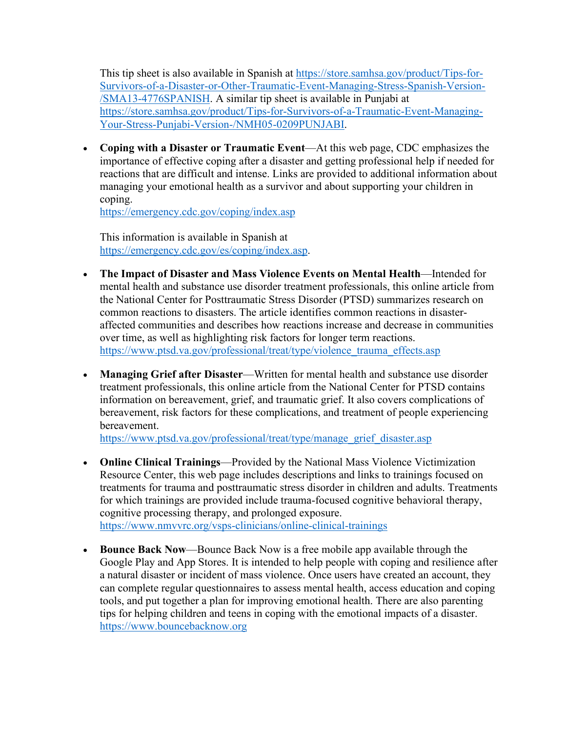This tip sheet is also available in Spanish at [https://store.samhsa.gov/product/Tips-for-](https://store.samhsa.gov/product/Tips-for-Survivors-of-a-Disaster-or-Other-Traumatic-Event-Managing-Stress-Spanish-Version-/SMA13-4776SPANISH)[Survivors-of-a-Disaster-or-Other-Traumatic-Event-Managing-Stress-Spanish-Version-](https://store.samhsa.gov/product/Tips-for-Survivors-of-a-Disaster-or-Other-Traumatic-Event-Managing-Stress-Spanish-Version-/SMA13-4776SPANISH) [/SMA13-4776SPANISH.](https://store.samhsa.gov/product/Tips-for-Survivors-of-a-Disaster-or-Other-Traumatic-Event-Managing-Stress-Spanish-Version-/SMA13-4776SPANISH) A similar tip sheet is available in Punjabi at [https://store.samhsa.gov/product/Tips-for-Survivors-of-a-Traumatic-Event-Managing-](https://store.samhsa.gov/product/Tips-for-Survivors-of-a-Traumatic-Event-Managing-Your-Stress-Punjabi-Version-/NMH05-0209PUNJABI)[Your-Stress-Punjabi-Version-/NMH05-0209PUNJABI.](https://store.samhsa.gov/product/Tips-for-Survivors-of-a-Traumatic-Event-Managing-Your-Stress-Punjabi-Version-/NMH05-0209PUNJABI)

• **Coping with a Disaster or Traumatic Event**—At this web page, CDC emphasizes the importance of effective coping after a disaster and getting professional help if needed for reactions that are difficult and intense. Links are provided to additional information about managing your emotional health as a survivor and about supporting your children in coping.

<https://emergency.cdc.gov/coping/index.asp>

This information is available in Spanish at [https://emergency.cdc.gov/es/coping/index.asp.](https://emergency.cdc.gov/es/coping/index.asp)

- **The Impact of Disaster and Mass Violence Events on Mental Health**—Intended for mental health and substance use disorder treatment professionals, this online article from the National Center for Posttraumatic Stress Disorder (PTSD) summarizes research on common reactions to disasters. The article identifies common reactions in disasteraffected communities and describes how reactions increase and decrease in communities over time, as well as highlighting risk factors for longer term reactions. [https://www.ptsd.va.gov/professional/treat/type/violence\\_trauma\\_effects.asp](https://www.ptsd.va.gov/professional/treat/type/violence_trauma_effects.asp)
- **Managing Grief after Disaster**—Written for mental health and substance use disorder treatment professionals, this online article from the National Center for PTSD contains information on bereavement, grief, and traumatic grief. It also covers complications of bereavement, risk factors for these complications, and treatment of people experiencing bereavement.

[https://www.ptsd.va.gov/professional/treat/type/manage\\_grief\\_disaster.asp](https://www.ptsd.va.gov/professional/treat/type/manage_grief_disaster.asp)

- **Online Clinical Trainings**—Provided by the National Mass Violence Victimization Resource Center, this web page includes descriptions and links to trainings focused on treatments for trauma and posttraumatic stress disorder in children and adults. Treatments for which trainings are provided include trauma-focused cognitive behavioral therapy, cognitive processing therapy, and prolonged exposure. <https://www.nmvvrc.org/vsps-clinicians/online-clinical-trainings>
- **Bounce Back Now**—Bounce Back Now is a free mobile app available through the Google Play and App Stores. It is intended to help people with coping and resilience after a natural disaster or incident of mass violence. Once users have created an account, they can complete regular questionnaires to assess mental health, access education and coping tools, and put together a plan for improving emotional health. There are also parenting tips for helping children and teens in coping with the emotional impacts of a disaster. [https://www.bouncebacknow.org](https://www.bouncebacknow.org/)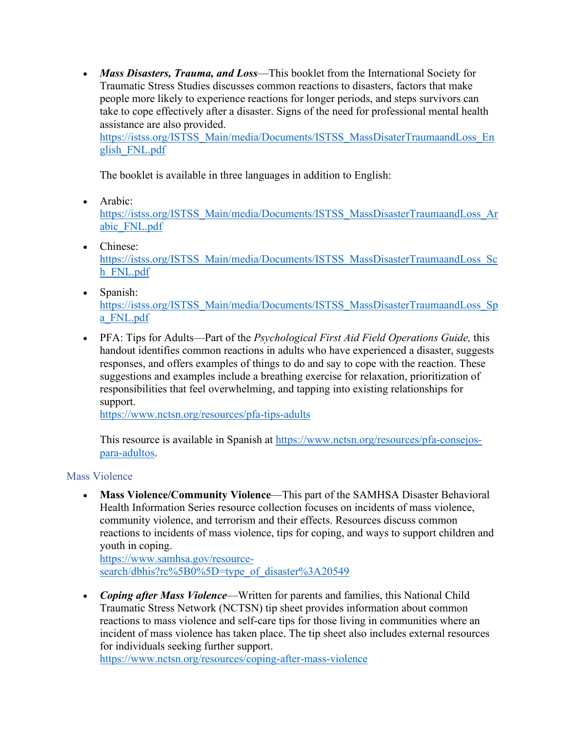• *Mass Disasters, Trauma, and Loss*—This booklet from the International Society for Traumatic Stress Studies discusses common reactions to disasters, factors that make people more likely to experience reactions for longer periods, and steps survivors can take to cope effectively after a disaster. Signs of the need for professional mental health assistance are also provided.

[https://istss.org/ISTSS\\_Main/media/Documents/ISTSS\\_MassDisaterTraumaandLoss\\_En](https://istss.org/ISTSS_Main/media/Documents/ISTSS_MassDisaterTraumaandLoss_English_FNL.pdf) [glish\\_FNL.pdf](https://istss.org/ISTSS_Main/media/Documents/ISTSS_MassDisaterTraumaandLoss_English_FNL.pdf)

The booklet is available in three languages in addition to English:

• Arabic:

[https://istss.org/ISTSS\\_Main/media/Documents/ISTSS\\_MassDisasterTraumaandLoss\\_Ar](https://istss.org/ISTSS_Main/media/Documents/ISTSS_MassDisasterTraumaandLoss_Arabic_FNL.pdf) [abic\\_FNL.pdf](https://istss.org/ISTSS_Main/media/Documents/ISTSS_MassDisasterTraumaandLoss_Arabic_FNL.pdf)

- Chinese: [https://istss.org/ISTSS\\_Main/media/Documents/ISTSS\\_MassDisasterTraumaandLoss\\_Sc](https://istss.org/ISTSS_Main/media/Documents/ISTSS_MassDisasterTraumaandLoss_Sch_FNL.pdf) [h\\_FNL.pdf](https://istss.org/ISTSS_Main/media/Documents/ISTSS_MassDisasterTraumaandLoss_Sch_FNL.pdf)
- Spanish: [https://istss.org/ISTSS\\_Main/media/Documents/ISTSS\\_MassDisasterTraumaandLoss\\_Sp](https://istss.org/ISTSS_Main/media/Documents/ISTSS_MassDisasterTraumaandLoss_Spa_FNL.pdf) [a\\_FNL.pdf](https://istss.org/ISTSS_Main/media/Documents/ISTSS_MassDisasterTraumaandLoss_Spa_FNL.pdf)
- PFA: Tips for Adults—Part of the *Psychological First Aid Field Operations Guide,* this handout identifies common reactions in adults who have experienced a disaster, suggests responses, and offers examples of things to do and say to cope with the reaction. These suggestions and examples include a breathing exercise for relaxation, prioritization of responsibilities that feel overwhelming, and tapping into existing relationships for support.

<https://www.nctsn.org/resources/pfa-tips-adults>

This resource is available in Spanish at [https://www.nctsn.org/resources/pfa-consejos](https://www.nctsn.org/resources/pfa-consejos-para-adultos)[para-adultos.](https://www.nctsn.org/resources/pfa-consejos-para-adultos)

# Mass Violence

• **Mass Violence/Community Violence**—This part of the SAMHSA Disaster Behavioral Health Information Series resource collection focuses on incidents of mass violence, community violence, and terrorism and their effects. Resources discuss common reactions to incidents of mass violence, tips for coping, and ways to support children and youth in coping.

[https://www.samhsa.gov/resource](https://www.samhsa.gov/resource-search/dbhis?rc%5B0%5D=type_of_disaster%3A20549)search/dbhis?rc%5B0%5D=type\_of\_disaster%3A20549

• *Coping after Mass Violence*—Written for parents and families, this National Child Traumatic Stress Network (NCTSN) tip sheet provides information about common reactions to mass violence and self-care tips for those living in communities where an incident of mass violence has taken place. The tip sheet also includes external resources for individuals seeking further support.

<https://www.nctsn.org/resources/coping-after-mass-violence>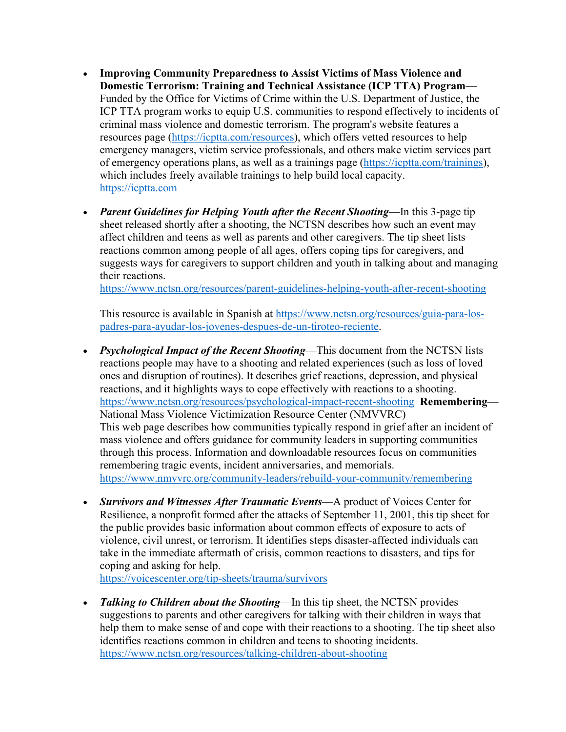- **Improving Community Preparedness to Assist Victims of Mass Violence and Domestic Terrorism: Training and Technical Assistance (ICP TTA) Program**— Funded by the Office for Victims of Crime within the U.S. Department of Justice, the ICP TTA program works to equip U.S. communities to respond effectively to incidents of criminal mass violence and domestic terrorism. The program's website features a resources page [\(https://icptta.com/resources\)](https://icptta.com/resources), which offers vetted resources to help emergency managers, victim service professionals, and others make victim services part of emergency operations plans, as well as a trainings page [\(https://icptta.com/trainings\)](https://icptta.com/trainings), which includes freely available trainings to help build local capacity. [https://icptta.com](https://icptta.com/)
- *Parent Guidelines for Helping Youth after the Recent Shooting*—In this 3-page tip sheet released shortly after a shooting, the NCTSN describes how such an event may affect children and teens as well as parents and other caregivers. The tip sheet lists reactions common among people of all ages, offers coping tips for caregivers, and suggests ways for caregivers to support children and youth in talking about and managing their reactions.

<https://www.nctsn.org/resources/parent-guidelines-helping-youth-after-recent-shooting>

This resource is available in Spanish at [https://www.nctsn.org/resources/guia-para-los](https://www.nctsn.org/resources/guia-para-los-padres-para-ayudar-los-jovenes-despues-de-un-tiroteo-reciente)[padres-para-ayudar-los-jovenes-despues-de-un-tiroteo-reciente.](https://www.nctsn.org/resources/guia-para-los-padres-para-ayudar-los-jovenes-despues-de-un-tiroteo-reciente)

- *Psychological Impact of the Recent Shooting*—This document from the NCTSN lists reactions people may have to a shooting and related experiences (such as loss of loved ones and disruption of routines). It describes grief reactions, depression, and physical reactions, and it highlights ways to cope effectively with reactions to a shooting. <https://www.nctsn.org/resources/psychological-impact-recent-shooting>**Remembering**— National Mass Violence Victimization Resource Center (NMVVRC) This web page describes how communities typically respond in grief after an incident of mass violence and offers guidance for community leaders in supporting communities through this process. Information and downloadable resources focus on communities remembering tragic events, incident anniversaries, and memorials. <https://www.nmvvrc.org/community-leaders/rebuild-your-community/remembering>
- *Survivors and Witnesses After Traumatic Events*—A product of Voices Center for Resilience, a nonprofit formed after the attacks of September 11, 2001, this tip sheet for the public provides basic information about common effects of exposure to acts of violence, civil unrest, or terrorism. It identifies steps disaster-affected individuals can take in the immediate aftermath of crisis, common reactions to disasters, and tips for coping and asking for help.

<https://voicescenter.org/tip-sheets/trauma/survivors>

• *Talking to Children about the Shooting*—In this tip sheet, the NCTSN provides suggestions to parents and other caregivers for talking with their children in ways that help them to make sense of and cope with their reactions to a shooting. The tip sheet also identifies reactions common in children and teens to shooting incidents. <https://www.nctsn.org/resources/talking-children-about-shooting>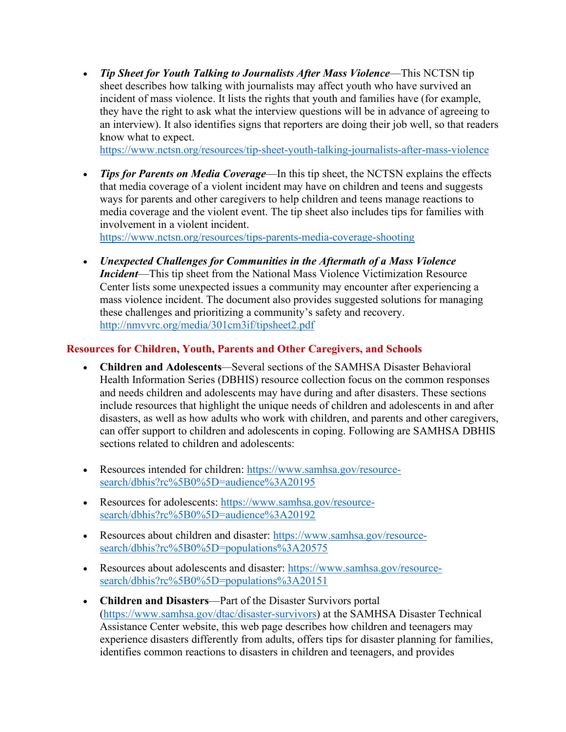• *Tip Sheet for Youth Talking to Journalists After Mass Violence*—This NCTSN tip sheet describes how talking with journalists may affect youth who have survived an incident of mass violence. It lists the rights that youth and families have (for example, they have the right to ask what the interview questions will be in advance of agreeing to an interview). It also identifies signs that reporters are doing their job well, so that readers know what to expect.

<https://www.nctsn.org/resources/tip-sheet-youth-talking-journalists-after-mass-violence>

• *Tips for Parents on Media Coverage*—In this tip sheet, the NCTSN explains the effects that media coverage of a violent incident may have on children and teens and suggests ways for parents and other caregivers to help children and teens manage reactions to media coverage and the violent event. The tip sheet also includes tips for families with involvement in a violent incident.

<https://www.nctsn.org/resources/tips-parents-media-coverage-shooting>

• *Unexpected Challenges for Communities in the Aftermath of a Mass Violence Incident*—This tip sheet from the National Mass Violence Victimization Resource Center lists some unexpected issues a community may encounter after experiencing a mass violence incident. The document also provides suggested solutions for managing these challenges and prioritizing a community's safety and recovery. <http://nmvvrc.org/media/301cm3if/tipsheet2.pdf>

#### **Resources for Children, Youth, Parents and Other Caregivers, and Schools**

- **Children and Adolescents***—*Several sections of the SAMHSA Disaster Behavioral Health Information Series (DBHIS) resource collection focus on the common responses and needs children and adolescents may have during and after disasters. These sections include resources that highlight the unique needs of children and adolescents in and after disasters, as well as how adults who work with children, and parents and other caregivers, can offer support to children and adolescents in coping. Following are SAMHSA DBHIS sections related to children and adolescents:
- Resources intended for children: [https://www.samhsa.gov/resource](https://www.samhsa.gov/resource-search/dbhis?rc%5B0%5D=audience%3A20195)[search/dbhis?rc%5B0%5D=audience%3A20195](https://www.samhsa.gov/resource-search/dbhis?rc%5B0%5D=audience%3A20195)
- Resources for adolescents: [https://www.samhsa.gov/resource](https://www.samhsa.gov/resource-search/dbhis?rc%5B0%5D=audience%3A20192)[search/dbhis?rc%5B0%5D=audience%3A20192](https://www.samhsa.gov/resource-search/dbhis?rc%5B0%5D=audience%3A20192)
- Resources about children and disaster: [https://www.samhsa.gov/resource](https://www.samhsa.gov/resource-search/dbhis?rc%5B0%5D=populations%3A20575)[search/dbhis?rc%5B0%5D=populations%3A20575](https://www.samhsa.gov/resource-search/dbhis?rc%5B0%5D=populations%3A20575)
- Resources about adolescents and disaster: [https://www.samhsa.gov/resource](https://www.samhsa.gov/resource-search/dbhis?rc%5B0%5D=populations%3A20151)[search/dbhis?rc%5B0%5D=populations%3A20151](https://www.samhsa.gov/resource-search/dbhis?rc%5B0%5D=populations%3A20151)
- **Children and Disasters**—Part of the Disaster Survivors portal [\(https://www.samhsa.gov/dtac/disaster-survivors\)](https://www.samhsa.gov/dtac/disaster-survivors) at the SAMHSA Disaster Technical Assistance Center website, this web page describes how children and teenagers may experience disasters differently from adults, offers tips for disaster planning for families, identifies common reactions to disasters in children and teenagers, and provides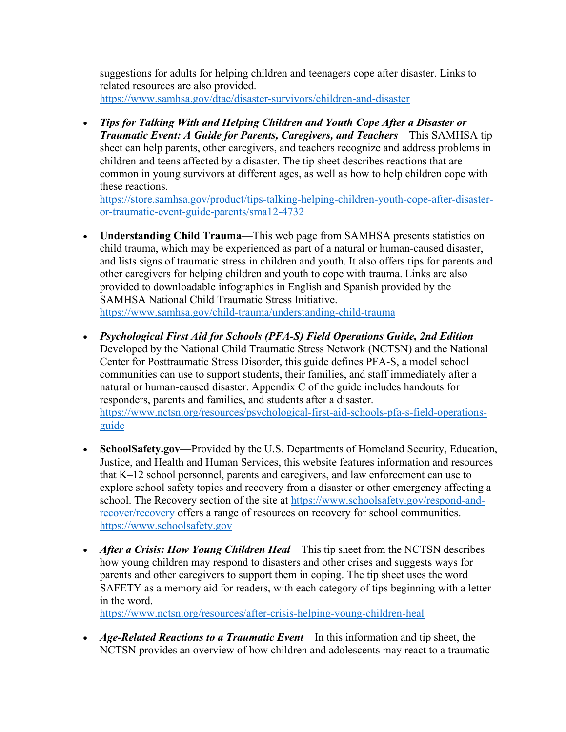suggestions for adults for helping children and teenagers cope after disaster. Links to related resources are also provided. <https://www.samhsa.gov/dtac/disaster-survivors/children-and-disaster>

• *Tips for Talking With and Helping Children and Youth Cope After a Disaster or Traumatic Event: A Guide for Parents, Caregivers, and Teachers*—This SAMHSA tip sheet can help parents, other caregivers, and teachers recognize and address problems in children and teens affected by a disaster. The tip sheet describes reactions that are common in young survivors at different ages, as well as how to help children cope with these reactions.

[https://store.samhsa.gov/product/tips-talking-helping-children-youth-cope-after-disaster](https://store.samhsa.gov/product/tips-talking-helping-children-youth-cope-after-disaster-or-traumatic-event-guide-parents/sma12-4732)[or-traumatic-event-guide-parents/sma12-4732](https://store.samhsa.gov/product/tips-talking-helping-children-youth-cope-after-disaster-or-traumatic-event-guide-parents/sma12-4732)

- **Understanding Child Trauma**—This web page from SAMHSA presents statistics on child trauma, which may be experienced as part of a natural or human-caused disaster, and lists signs of traumatic stress in children and youth. It also offers tips for parents and other caregivers for helping children and youth to cope with trauma. Links are also provided to downloadable infographics in English and Spanish provided by the SAMHSA National Child Traumatic Stress Initiative. <https://www.samhsa.gov/child-trauma/understanding-child-trauma>
- *Psychological First Aid for Schools (PFA-S) Field Operations Guide, 2nd Edition* Developed by the National Child Traumatic Stress Network (NCTSN) and the National Center for Posttraumatic Stress Disorder, this guide defines PFA-S, a model school communities can use to support students, their families, and staff immediately after a natural or human-caused disaster. Appendix C of the guide includes handouts for responders, parents and families, and students after a disaster. [https://www.nctsn.org/resources/psychological-first-aid-schools-pfa-s-field-operations](https://www.nctsn.org/resources/psychological-first-aid-schools-pfa-s-field-operations-guide)[guide](https://www.nctsn.org/resources/psychological-first-aid-schools-pfa-s-field-operations-guide)
- **SchoolSafety.gov**—Provided by the U.S. Departments of Homeland Security, Education, Justice, and Health and Human Services, this website features information and resources that K–12 school personnel, parents and caregivers, and law enforcement can use to explore school safety topics and recovery from a disaster or other emergency affecting a school. The Recovery section of the site at [https://www.schoolsafety.gov/respond-and](https://www.schoolsafety.gov/respond-and-recover/recovery)[recover/recovery](https://www.schoolsafety.gov/respond-and-recover/recovery) offers a range of resources on recovery for school communities. [https://www.schoolsafety.gov](https://www.schoolsafety.gov/)
- *After a Crisis: How Young Children Heal*—This tip sheet from the NCTSN describes how young children may respond to disasters and other crises and suggests ways for parents and other caregivers to support them in coping. The tip sheet uses the word SAFETY as a memory aid for readers, with each category of tips beginning with a letter in the word.

<https://www.nctsn.org/resources/after-crisis-helping-young-children-heal>

• *Age-Related Reactions to a Traumatic Event*—In this information and tip sheet, the NCTSN provides an overview of how children and adolescents may react to a traumatic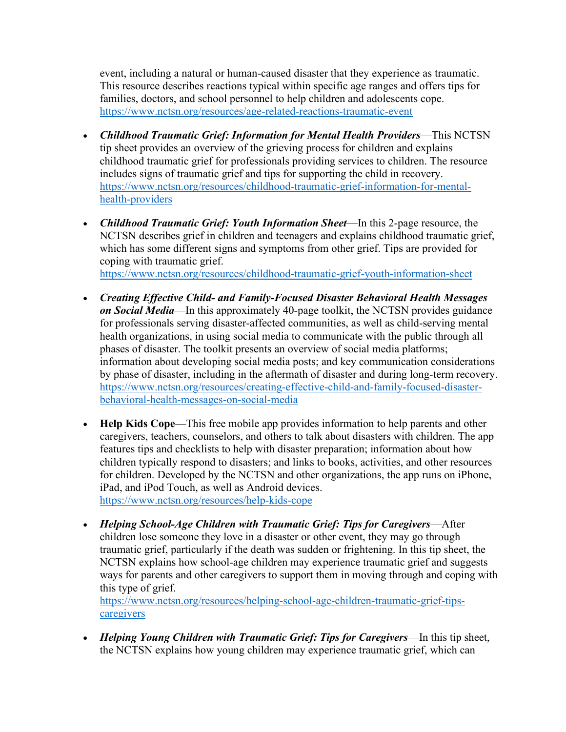event, including a natural or human-caused disaster that they experience as traumatic. This resource describes reactions typical within specific age ranges and offers tips for families, doctors, and school personnel to help children and adolescents cope. <https://www.nctsn.org/resources/age-related-reactions-traumatic-event>

- *Childhood Traumatic Grief: Information for Mental Health Providers*—This NCTSN tip sheet provides an overview of the grieving process for children and explains childhood traumatic grief for professionals providing services to children. The resource includes signs of traumatic grief and tips for supporting the child in recovery. [https://www.nctsn.org/resources/childhood-traumatic-grief-information-for-mental](https://www.nctsn.org/resources/childhood-traumatic-grief-information-for-mental-health-providers)[health-providers](https://www.nctsn.org/resources/childhood-traumatic-grief-information-for-mental-health-providers)
- *Childhood Traumatic Grief: Youth Information Sheet*—In this 2-page resource, the NCTSN describes grief in children and teenagers and explains childhood traumatic grief, which has some different signs and symptoms from other grief. Tips are provided for coping with traumatic grief. <https://www.nctsn.org/resources/childhood-traumatic-grief-youth-information-sheet>

- *Creating Effective Child- and Family-Focused Disaster Behavioral Health Messages on Social Media*—In this approximately 40-page toolkit, the NCTSN provides guidance for professionals serving disaster-affected communities, as well as child-serving mental health organizations, in using social media to communicate with the public through all phases of disaster. The toolkit presents an overview of social media platforms; information about developing social media posts; and key communication considerations by phase of disaster, including in the aftermath of disaster and during long-term recovery. [https://www.nctsn.org/resources/creating-effective-child-and-family-focused-disaster](https://www.nctsn.org/resources/creating-effective-child-and-family-focused-disaster-behavioral-health-messages-on-social-media)[behavioral-health-messages-on-social-media](https://www.nctsn.org/resources/creating-effective-child-and-family-focused-disaster-behavioral-health-messages-on-social-media)
- **Help Kids Cope**—This free mobile app provides information to help parents and other caregivers, teachers, counselors, and others to talk about disasters with children. The app features tips and checklists to help with disaster preparation; information about how children typically respond to disasters; and links to books, activities, and other resources for children. Developed by the NCTSN and other organizations, the app runs on iPhone, iPad, and iPod Touch, as well as Android devices. <https://www.nctsn.org/resources/help-kids-cope>

• *Helping School-Age Children with Traumatic Grief: Tips for Caregivers*—After children lose someone they love in a disaster or other event, they may go through traumatic grief, particularly if the death was sudden or frightening. In this tip sheet, the NCTSN explains how school-age children may experience traumatic grief and suggests ways for parents and other caregivers to support them in moving through and coping with this type of grief.

[https://www.nctsn.org/resources/helping-school-age-children-traumatic-grief-tips](https://www.nctsn.org/resources/helping-school-age-children-traumatic-grief-tips-caregivers)[caregivers](https://www.nctsn.org/resources/helping-school-age-children-traumatic-grief-tips-caregivers) 

• *Helping Young Children with Traumatic Grief: Tips for Caregivers*—In this tip sheet, the NCTSN explains how young children may experience traumatic grief, which can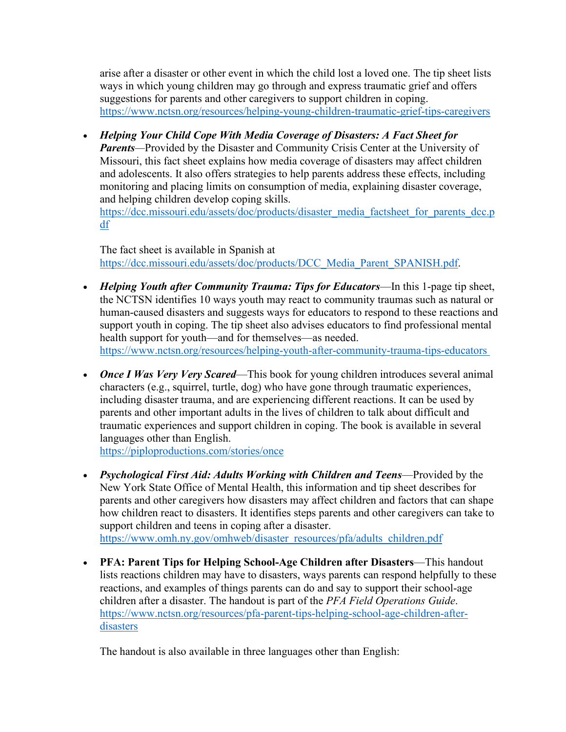arise after a disaster or other event in which the child lost a loved one. The tip sheet lists ways in which young children may go through and express traumatic grief and offers suggestions for parents and other caregivers to support children in coping. <https://www.nctsn.org/resources/helping-young-children-traumatic-grief-tips-caregivers>

• *Helping Your Child Cope With Media Coverage of Disasters: A Fact Sheet for Parents—*Provided by the Disaster and Community Crisis Center at the University of Missouri, this fact sheet explains how media coverage of disasters may affect children and adolescents. It also offers strategies to help parents address these effects, including monitoring and placing limits on consumption of media, explaining disaster coverage, and helping children develop coping skills. [https://dcc.missouri.edu/assets/doc/products/disaster\\_media\\_factsheet\\_for\\_parents\\_dcc.p](https://dcc.missouri.edu/assets/doc/products/disaster_media_factsheet_for_parents_dcc.pdf) [df](https://dcc.missouri.edu/assets/doc/products/disaster_media_factsheet_for_parents_dcc.pdf) 

The fact sheet is available in Spanish at [https://dcc.missouri.edu/assets/doc/products/DCC\\_Media\\_Parent\\_SPANISH.pdf.](https://dcc.missouri.edu/assets/doc/products/DCC_Media_Parent_SPANISH.pdf)

- *Helping Youth after Community Trauma: Tips for Educators*—In this 1-page tip sheet, the NCTSN identifies 10 ways youth may react to community traumas such as natural or human-caused disasters and suggests ways for educators to respond to these reactions and support youth in coping. The tip sheet also advises educators to find professional mental health support for youth—and for themselves—as needed. <https://www.nctsn.org/resources/helping-youth-after-community-trauma-tips-educators>
- *Once I Was Very Very Scared*—This book for young children introduces several animal characters (e.g., squirrel, turtle, dog) who have gone through traumatic experiences, including disaster trauma, and are experiencing different reactions. It can be used by parents and other important adults in the lives of children to talk about difficult and traumatic experiences and support children in coping. The book is available in several languages other than English.

<https://piploproductions.com/stories/once>

- *Psychological First Aid: Adults Working with Children and Teens*—Provided by the New York State Office of Mental Health, this information and tip sheet describes for parents and other caregivers how disasters may affect children and factors that can shape how children react to disasters. It identifies steps parents and other caregivers can take to support children and teens in coping after a disaster. [https://www.omh.ny.gov/omhweb/disaster\\_resources/pfa/adults\\_children.pdf](https://www.omh.ny.gov/omhweb/disaster_resources/pfa/adults_children.pdf)
- **PFA: Parent Tips for Helping School-Age Children after Disasters**—This handout lists reactions children may have to disasters, ways parents can respond helpfully to these reactions, and examples of things parents can do and say to support their school-age children after a disaster. The handout is part of the *PFA Field Operations Guide*. [https://www.nctsn.org/resources/pfa-parent-tips-helping-school-age-children-after](https://www.nctsn.org/resources/pfa-parent-tips-helping-school-age-children-after-disasters)[disasters](https://www.nctsn.org/resources/pfa-parent-tips-helping-school-age-children-after-disasters)

The handout is also available in three languages other than English: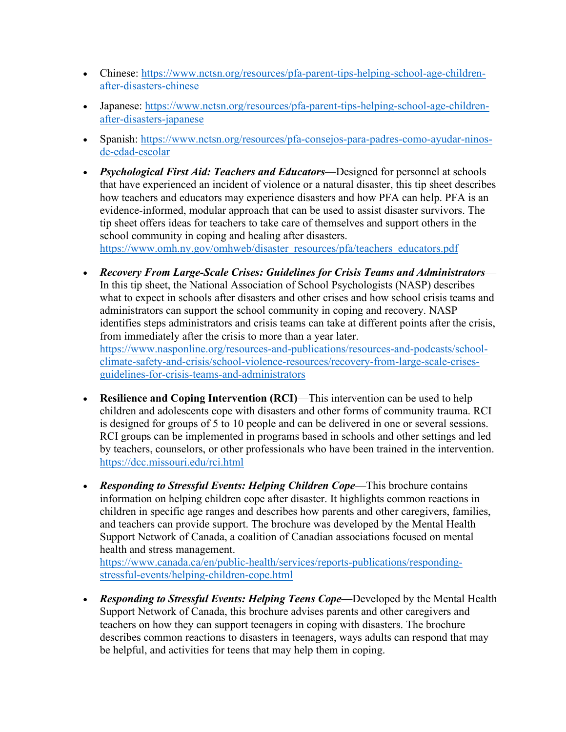- Chinese: [https://www.nctsn.org/resources/pfa-parent-tips-helping-school-age-children](https://www.nctsn.org/resources/pfa-parent-tips-helping-school-age-children-after-disasters-chinese)[after-disasters-chinese](https://www.nctsn.org/resources/pfa-parent-tips-helping-school-age-children-after-disasters-chinese)
- Japanese: [https://www.nctsn.org/resources/pfa-parent-tips-helping-school-age-children](https://www.nctsn.org/resources/pfa-parent-tips-helping-school-age-children-after-disasters-japanese)[after-disasters-japanese](https://www.nctsn.org/resources/pfa-parent-tips-helping-school-age-children-after-disasters-japanese)
- Spanish: [https://www.nctsn.org/resources/pfa-consejos-para-padres-como-ayudar-ninos](https://www.nctsn.org/resources/pfa-consejos-para-padres-como-ayudar-ninos-de-edad-escolar)[de-edad-escolar](https://www.nctsn.org/resources/pfa-consejos-para-padres-como-ayudar-ninos-de-edad-escolar)
- *Psychological First Aid: Teachers and Educators*—Designed for personnel at schools that have experienced an incident of violence or a natural disaster, this tip sheet describes how teachers and educators may experience disasters and how PFA can help. PFA is an evidence-informed, modular approach that can be used to assist disaster survivors. The tip sheet offers ideas for teachers to take care of themselves and support others in the school community in coping and healing after disasters.

[https://www.omh.ny.gov/omhweb/disaster\\_resources/pfa/teachers\\_educators.pdf](https://www.omh.ny.gov/omhweb/disaster_resources/pfa/teachers_educators.pdf)

- *Recovery From Large-Scale Crises: Guidelines for Crisis Teams and Administrators* In this tip sheet, the National Association of School Psychologists (NASP) describes what to expect in schools after disasters and other crises and how school crisis teams and administrators can support the school community in coping and recovery. NASP identifies steps administrators and crisis teams can take at different points after the crisis, from immediately after the crisis to more than a year later. [https://www.nasponline.org/resources-and-publications/resources-and-podcasts/school](https://www.nasponline.org/resources-and-publications/resources-and-podcasts/school-climate-safety-and-crisis/school-violence-resources/recovery-from-large-scale-crises-guidelines-for-crisis-teams-and-administrators)[climate-safety-and-crisis/school-violence-resources/recovery-from-large-scale-crises](https://www.nasponline.org/resources-and-publications/resources-and-podcasts/school-climate-safety-and-crisis/school-violence-resources/recovery-from-large-scale-crises-guidelines-for-crisis-teams-and-administrators)[guidelines-for-crisis-teams-and-administrators](https://www.nasponline.org/resources-and-publications/resources-and-podcasts/school-climate-safety-and-crisis/school-violence-resources/recovery-from-large-scale-crises-guidelines-for-crisis-teams-and-administrators)
- **Resilience and Coping Intervention (RCI)**—This intervention can be used to help children and adolescents cope with disasters and other forms of community trauma. RCI is designed for groups of 5 to 10 people and can be delivered in one or several sessions. RCI groups can be implemented in programs based in schools and other settings and led by teachers, counselors, or other professionals who have been trained in the intervention. <https://dcc.missouri.edu/rci.html>
- *Responding to Stressful Events: Helping Children Cope***—This brochure contains** information on helping children cope after disaster. It highlights common reactions in children in specific age ranges and describes how parents and other caregivers, families, and teachers can provide support. The brochure was developed by the Mental Health Support Network of Canada, a coalition of Canadian associations focused on mental health and stress management.

[https://www.canada.ca/en/public-health/services/reports-publications/responding](https://www.canada.ca/en/public-health/services/reports-publications/responding-stressful-events/helping-children-cope.html)[stressful-events/helping-children-cope.html](https://www.canada.ca/en/public-health/services/reports-publications/responding-stressful-events/helping-children-cope.html) 

• *Responding to Stressful Events: Helping Teens Cope—*Developed by the Mental Health Support Network of Canada, this brochure advises parents and other caregivers and teachers on how they can support teenagers in coping with disasters. The brochure describes common reactions to disasters in teenagers, ways adults can respond that may be helpful, and activities for teens that may help them in coping.